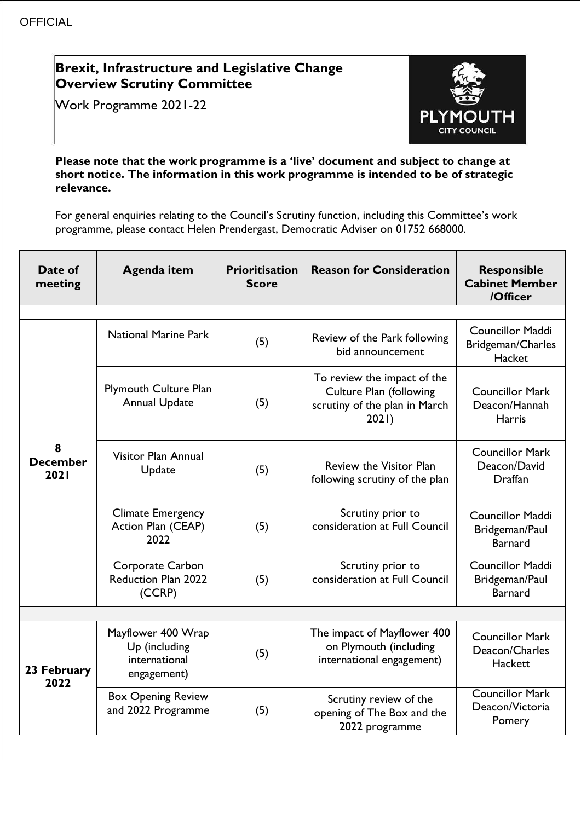## **Brexit, Infrastructure and Legislative Change Overview Scrutiny Committee**

Work Programme 2021-22



**Please note that the work programme is a 'live' document and subject to change at short notice. The information in this work programme is intended to be of strategic relevance.**

For general enquiries relating to the Council's Scrutiny function, including this Committee's work programme, please contact Helen Prendergast, Democratic Adviser on 01752 668000.

| Date of<br>meeting           | <b>Agenda item</b>                                                  | <b>Prioritisation</b><br><b>Score</b> | <b>Reason for Consideration</b>                                                                         | <b>Responsible</b><br><b>Cabinet Member</b><br>/Officer     |
|------------------------------|---------------------------------------------------------------------|---------------------------------------|---------------------------------------------------------------------------------------------------------|-------------------------------------------------------------|
|                              |                                                                     |                                       |                                                                                                         |                                                             |
| 8<br><b>December</b><br>2021 | <b>National Marine Park</b>                                         | (5)                                   | Review of the Park following<br>bid announcement                                                        | <b>Councillor Maddi</b><br>Bridgeman/Charles<br>Hacket      |
|                              | <b>Plymouth Culture Plan</b><br><b>Annual Update</b>                | (5)                                   | To review the impact of the<br><b>Culture Plan (following</b><br>scrutiny of the plan in March<br>2021) | <b>Councillor Mark</b><br>Deacon/Hannah<br>Harris           |
|                              | Visitor Plan Annual<br>Update                                       | (5)                                   | <b>Review the Visitor Plan</b><br>following scrutiny of the plan                                        | <b>Councillor Mark</b><br>Deacon/David<br>Draffan           |
|                              | <b>Climate Emergency</b><br>Action Plan (CEAP)<br>2022              | (5)                                   | Scrutiny prior to<br>consideration at Full Council                                                      | <b>Councillor Maddi</b><br>Bridgeman/Paul<br><b>Barnard</b> |
|                              | Corporate Carbon<br><b>Reduction Plan 2022</b><br>(CCRP)            | (5)                                   | Scrutiny prior to<br>consideration at Full Council                                                      | Councillor Maddi<br>Bridgeman/Paul<br><b>Barnard</b>        |
|                              |                                                                     |                                       |                                                                                                         |                                                             |
| 23 February<br>2022          | Mayflower 400 Wrap<br>Up (including<br>international<br>engagement) | (5)                                   | The impact of Mayflower 400<br>on Plymouth (including<br>international engagement)                      | <b>Councillor Mark</b><br>Deacon/Charles<br>Hackett         |
|                              | <b>Box Opening Review</b><br>and 2022 Programme                     | (5)                                   | Scrutiny review of the<br>opening of The Box and the<br>2022 programme                                  | <b>Councillor Mark</b><br>Deacon/Victoria<br>Pomery         |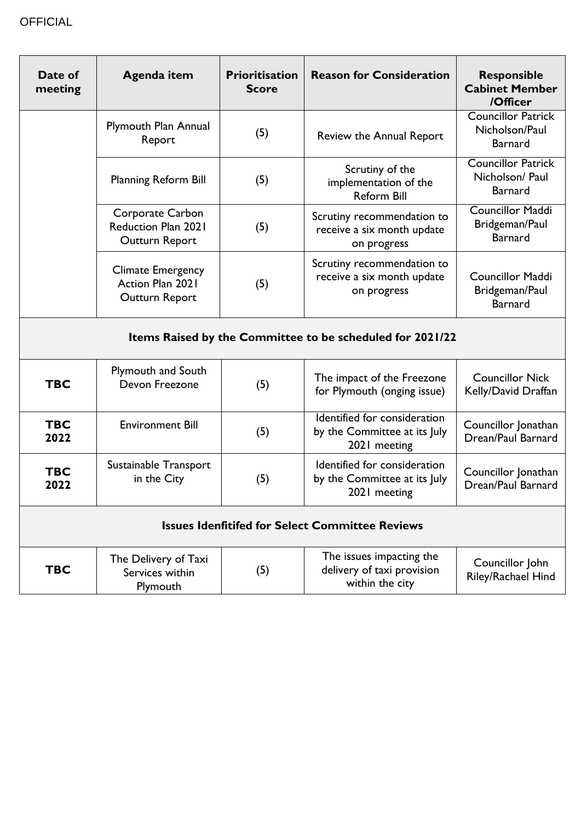| Date of<br>meeting                                        | Agenda item                                                      | <b>Prioritisation</b><br><b>Score</b> | <b>Reason for Consideration</b>                                              | <b>Responsible</b><br><b>Cabinet Member</b><br>/Officer        |  |
|-----------------------------------------------------------|------------------------------------------------------------------|---------------------------------------|------------------------------------------------------------------------------|----------------------------------------------------------------|--|
|                                                           | Plymouth Plan Annual<br>Report                                   | (5)                                   | Review the Annual Report                                                     | <b>Councillor Patrick</b><br>Nicholson/Paul<br><b>Barnard</b>  |  |
|                                                           | <b>Planning Reform Bill</b>                                      | (5)                                   | Scrutiny of the<br>implementation of the<br><b>Reform Bill</b>               | <b>Councillor Patrick</b><br>Nicholson/ Paul<br><b>Barnard</b> |  |
|                                                           | Corporate Carbon<br><b>Reduction Plan 2021</b><br>Outturn Report | (5)                                   | Scrutiny recommendation to<br>receive a six month update<br>on progress      | <b>Councillor Maddi</b><br>Bridgeman/Paul<br><b>Barnard</b>    |  |
|                                                           | <b>Climate Emergency</b><br>Action Plan 2021<br>Outturn Report   | (5)                                   | Scrutiny recommendation to<br>receive a six month update<br>on progress      | <b>Councillor Maddi</b><br>Bridgeman/Paul<br><b>Barnard</b>    |  |
| Items Raised by the Committee to be scheduled for 2021/22 |                                                                  |                                       |                                                                              |                                                                |  |
| <b>TBC</b>                                                | <b>Plymouth and South</b><br>Devon Freezone                      | (5)                                   | The impact of the Freezone<br>for Plymouth (onging issue)                    | <b>Councillor Nick</b><br>Kelly/David Draffan                  |  |
| <b>TBC</b><br>2022                                        | <b>Environment Bill</b>                                          | (5)                                   | Identified for consideration<br>by the Committee at its July<br>2021 meeting | Councillor Jonathan<br>Drean/Paul Barnard                      |  |
| <b>TBC</b><br>2022                                        | Sustainable Transport<br>in the City                             | (5)                                   | Identified for consideration<br>by the Committee at its July<br>2021 meeting | Councillor Jonathan<br>Drean/Paul Barnard                      |  |
| <b>Issues Idenfitifed for Select Committee Reviews</b>    |                                                                  |                                       |                                                                              |                                                                |  |
| <b>TBC</b>                                                | The Delivery of Taxi<br>Services within<br>Plymouth              | (5)                                   | The issues impacting the<br>delivery of taxi provision<br>within the city    | Councillor John<br>Riley/Rachael Hind                          |  |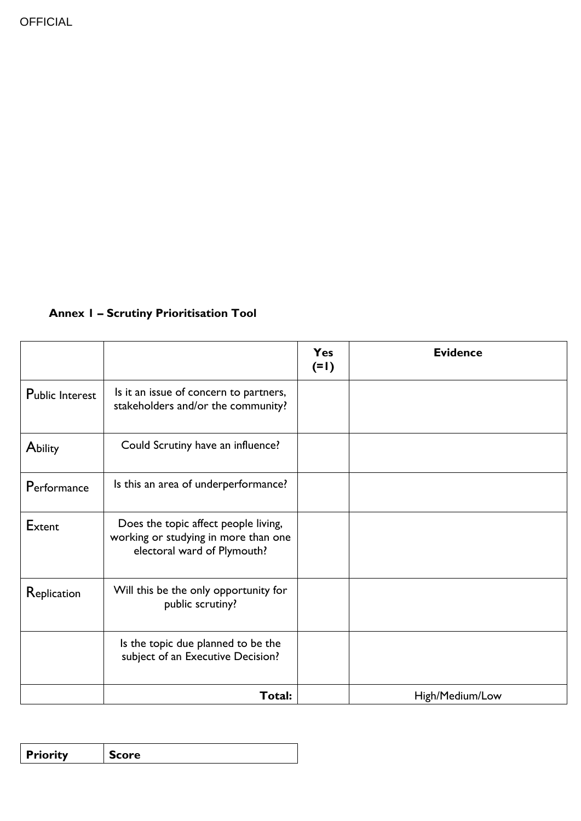## **Annex 1 – Scrutiny Prioritisation Tool**

|                 |                                                                                                             | Yes<br>$(=1)$ | <b>Evidence</b> |
|-----------------|-------------------------------------------------------------------------------------------------------------|---------------|-----------------|
| Public Interest | Is it an issue of concern to partners,<br>stakeholders and/or the community?                                |               |                 |
| Ability         | Could Scrutiny have an influence?                                                                           |               |                 |
| Performance     | Is this an area of underperformance?                                                                        |               |                 |
| Extent          | Does the topic affect people living,<br>working or studying in more than one<br>electoral ward of Plymouth? |               |                 |
| Replication     | Will this be the only opportunity for<br>public scrutiny?                                                   |               |                 |
|                 | Is the topic due planned to be the<br>subject of an Executive Decision?                                     |               |                 |
|                 | Total:                                                                                                      |               | High/Medium/Low |

| ∣ Priority<br>rnre |
|--------------------|
|--------------------|